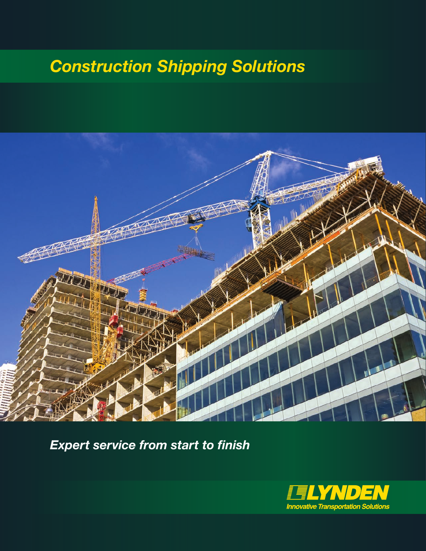# *Construction Shipping Solutions*



*Expert service from start to finish*